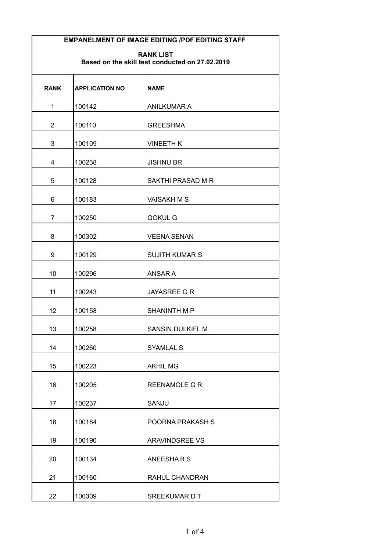**RANK LIST Based on the skill test conducted on 27.02.2019**

| <b>RANK</b>    | <b>APPLICATION NO</b> | <b>NAME</b>             |
|----------------|-----------------------|-------------------------|
| $\mathbf 1$    | 100142                | <b>ANILKUMAR A</b>      |
| $\overline{2}$ | 100110                | <b>GREESHMA</b>         |
| 3              | 100109                | <b>VINEETH K</b>        |
| 4              | 100238                | <b>JISHNU BR</b>        |
| 5              | 100128                | SAKTHI PRASAD M R       |
| 6              | 100183                | <b>VAISAKH M S</b>      |
| $\overline{7}$ | 100250                | <b>GOKUL G</b>          |
| 8              | 100302                | <b>VEENA SENAN</b>      |
| 9              | 100129                | <b>SUJITH KUMAR S</b>   |
| 10             | 100296                | ANSAR A                 |
| 11             | 100243                | <b>JAYASREE G R</b>     |
| 12             | 100158                | <b>SHANINTH M P</b>     |
| 13             | 100258                | <b>SANSIN DULKIFL M</b> |
| 14             | 100260                | <b>SYAMLAL S</b>        |
| 15             | 100223                | <b>AKHIL MG</b>         |
| 16             | 100205                | REENAMOLE G R           |
| 17             | 100237                | SANJU                   |
| 18             | 100184                | POORNA PRAKASH S        |
| 19             | 100190                | <b>ARAVINDSREE VS</b>   |
| 20             | 100134                | ANEESHABS               |
| 21             | 100160                | RAHUL CHANDRAN          |
| 22             | 100309                | SREEKUMAR D T           |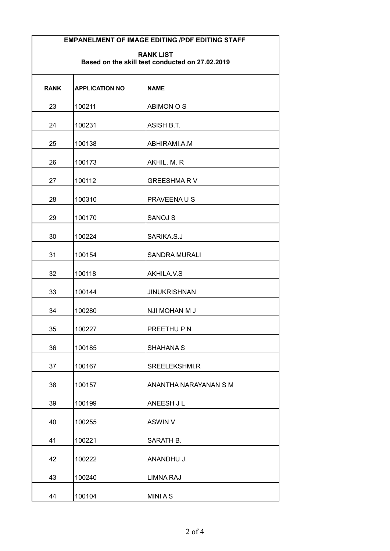| <b>RANK LIST</b>                                |  |
|-------------------------------------------------|--|
| Based on the skill test conducted on 27.02.2019 |  |

| <b>RANK</b> | <b>APPLICATION NO</b> | <b>NAME</b>           |
|-------------|-----------------------|-----------------------|
| 23          | 100211                | <b>ABIMON O S</b>     |
| 24          | 100231                | <b>ASISH B.T.</b>     |
| 25          | 100138                | ABHIRAMI.A.M          |
| 26          | 100173                | AKHIL. M. R           |
| 27          | 100112                | <b>GREESHMARV</b>     |
| 28          | 100310                | <b>PRAVEENAUS</b>     |
| 29          | 100170                | <b>SANOJ S</b>        |
| 30          | 100224                | SARIKA.S.J            |
| 31          | 100154                | <b>SANDRA MURALI</b>  |
| 32          | 100118                | AKHILA.V.S            |
| 33          | 100144                | <b>JINUKRISHNAN</b>   |
| 34          | 100280                | NJI MOHAN M J         |
| 35          | 100227                | PREETHU P N           |
| 36          | 100185                | <b>SHAHANA S</b>      |
| 37          | 100167                | SREELEKSHMI.R         |
| 38          | 100157                | ANANTHA NARAYANAN S M |
| 39          | 100199                | <b>ANEESH JL</b>      |
| 40          | 100255                | <b>ASWIN V</b>        |
| 41          | 100221                | SARATH B.             |
| 42          | 100222                | ANANDHU J.            |
| 43          | 100240                | <b>LIMNA RAJ</b>      |
|             |                       |                       |
| 44          | 100104                | <b>MINIAS</b>         |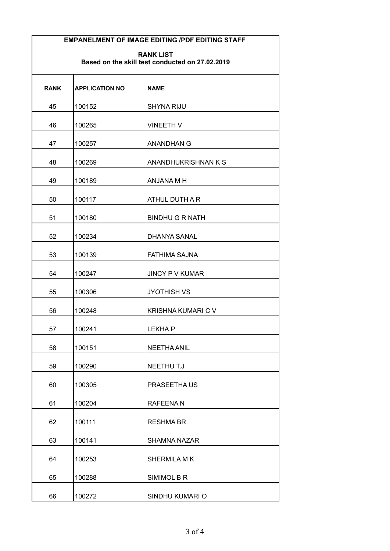| <b>RANK LIST</b>                                |  |
|-------------------------------------------------|--|
| Based on the skill test conducted on 27.02.2019 |  |

| <b>RANK</b> | <b>APPLICATION NO</b> | <b>NAME</b>               |
|-------------|-----------------------|---------------------------|
| 45          | 100152                | <b>SHYNA RIJU</b>         |
| 46          | 100265                | <b>VINEETH V</b>          |
| 47          | 100257                | <b>ANANDHAN G</b>         |
| 48          | 100269                | ANANDHUKRISHNAN K S       |
| 49          | 100189                | ANJANA M H                |
| 50          | 100117                | <b>ATHUL DUTH A R</b>     |
| 51          | 100180                | <b>BINDHU G R NATH</b>    |
| 52          | 100234                | <b>DHANYA SANAL</b>       |
| 53          | 100139                | <b>FATHIMA SAJNA</b>      |
| 54          | 100247                | <b>JINCY P V KUMAR</b>    |
| 55          | 100306                | <b>JYOTHISH VS</b>        |
| 56          | 100248                | <b>KRISHNA KUMARI C V</b> |
| 57          | 100241                | LEKHA.P                   |
| 58          | 100151                | <b>NEETHA ANIL</b>        |
| 59          | 100290                | NEETHU T.J                |
| 60          | 100305                | PRASEETHAUS               |
| 61          | 100204                | <b>RAFEENAN</b>           |
| 62          | 100111                | <b>RESHMA BR</b>          |
| 63          | 100141                | <b>SHAMNA NAZAR</b>       |
| 64          | 100253                | SHERMILA MK               |
| 65          | 100288                | SIMIMOL B R               |
| 66          | 100272                | SINDHU KUMARI O           |